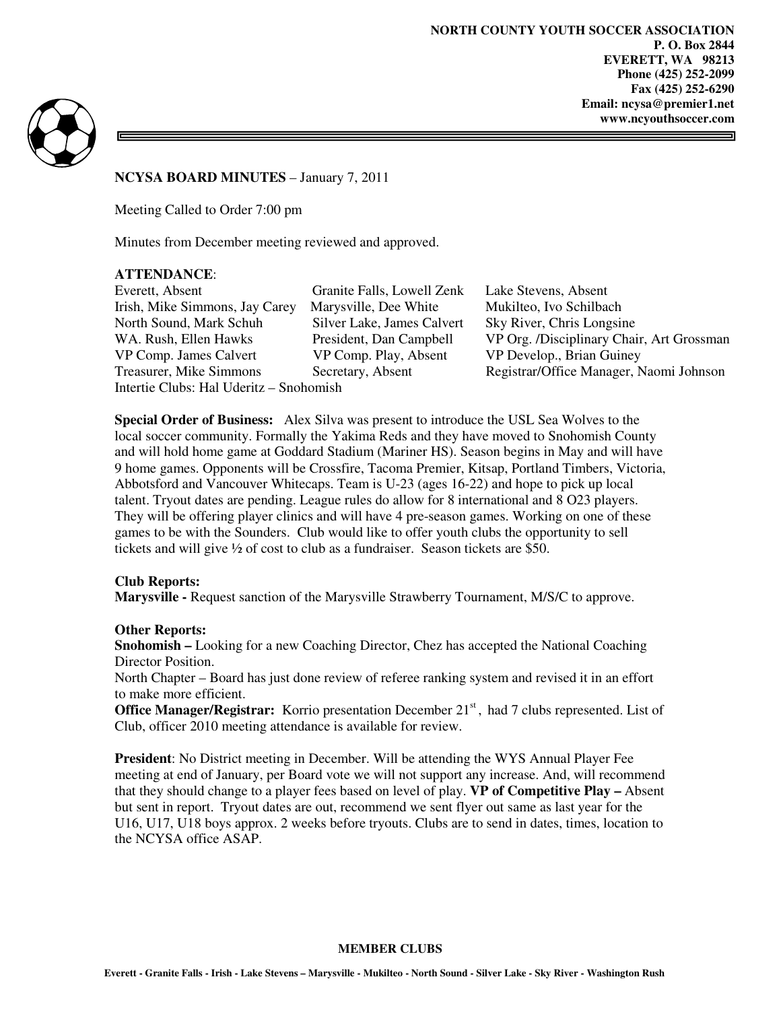**NORTH COUNTY YOUTH SOCCER ASSOCIATION P. O. Box 2844 EVERETT, WA 98213 Phone (425) 252-2099 Fax (425) 252-6290 Email: ncysa@premier1.net www.ncyouthsoccer.com** 



**NCYSA BOARD MINUTES** – January 7, 2011

Meeting Called to Order 7:00 pm

Minutes from December meeting reviewed and approved.

#### **ATTENDANCE**:

Everett, Absent Granite Falls, Lowell Zenk Lake Stevens, Absent Irish, Mike Simmons, Jay Carey Marysville, Dee White Mukilteo, Ivo Schilbach North Sound, Mark Schuh Silver Lake, James Calvert Sky River, Chris Longsine VP Comp. James Calvert VP Comp. Play, Absent VP Develop., Brian Guiney Intertie Clubs: Hal Uderitz – Snohomish

WA. Rush, Ellen Hawks President, Dan Campbell VP Org. /Disciplinary Chair, Art Grossman Treasurer, Mike Simmons Secretary, Absent Registrar/Office Manager, Naomi Johnson

**Special Order of Business:** Alex Silva was present to introduce the USL Sea Wolves to the local soccer community. Formally the Yakima Reds and they have moved to Snohomish County and will hold home game at Goddard Stadium (Mariner HS). Season begins in May and will have 9 home games. Opponents will be Crossfire, Tacoma Premier, Kitsap, Portland Timbers, Victoria, Abbotsford and Vancouver Whitecaps. Team is U-23 (ages 16-22) and hope to pick up local talent. Tryout dates are pending. League rules do allow for 8 international and 8 O23 players. They will be offering player clinics and will have 4 pre-season games. Working on one of these games to be with the Sounders. Club would like to offer youth clubs the opportunity to sell tickets and will give ½ of cost to club as a fundraiser. Season tickets are \$50.

#### **Club Reports:**

**Marysville -** Request sanction of the Marysville Strawberry Tournament, M/S/C to approve.

#### **Other Reports:**

**Snohomish –** Looking for a new Coaching Director, Chez has accepted the National Coaching Director Position.

North Chapter – Board has just done review of referee ranking system and revised it in an effort to make more efficient.

Office Manager/Registrar: Korrio presentation December 21<sup>st</sup>, had 7 clubs represented. List of Club, officer 2010 meeting attendance is available for review.

**President**: No District meeting in December. Will be attending the WYS Annual Player Fee meeting at end of January, per Board vote we will not support any increase. And, will recommend that they should change to a player fees based on level of play. **VP of Competitive Play –** Absent but sent in report. Tryout dates are out, recommend we sent flyer out same as last year for the U16, U17, U18 boys approx. 2 weeks before tryouts. Clubs are to send in dates, times, location to the NCYSA office ASAP.

#### **MEMBER CLUBS**